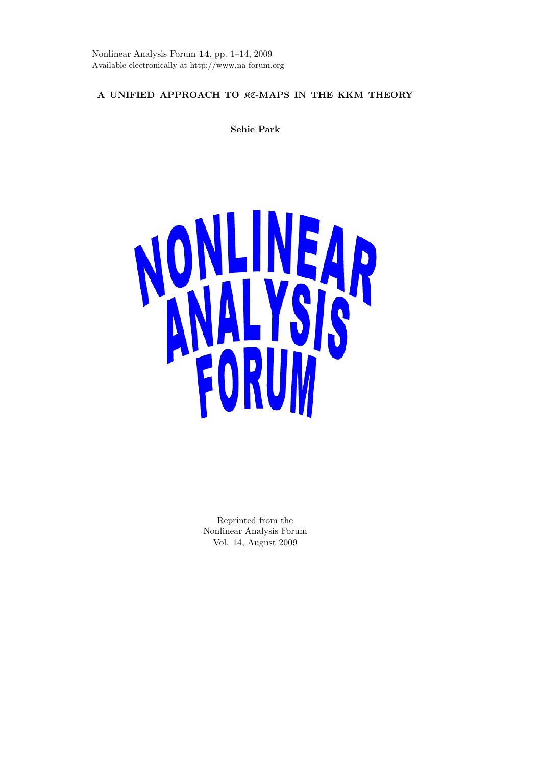Nonlinear Analysis Forum **14**, pp. 1–14, 2009 Available electronically at http://www.na-forum.org

# **A UNIFIED APPROACH TO** KC**-MAPS IN THE KKM THEORY**

**Sehie Park**



Reprinted from the Nonlinear Analysis Forum Vol. 14, August 2009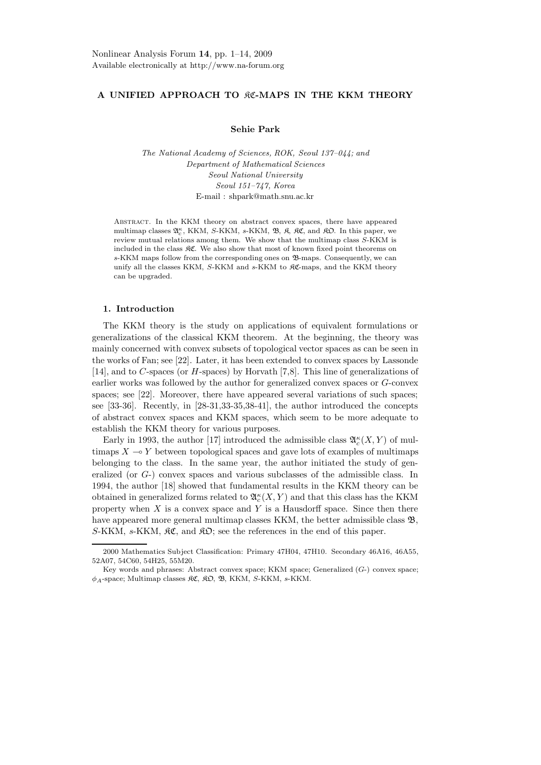# **A UNIFIED APPROACH TO** KC**-MAPS IN THE KKM THEORY**

# **Sehie Park**

*The National Academy of Sciences, ROK, Seoul 137–044; and Department of Mathematical Sciences Seoul National University Seoul 151–747, Korea* E-mail : shpark@math.snu.ac.kr

Abstract. In the KKM theory on abstract convex spaces, there have appeared multimap classes  $\mathfrak{A}^{\kappa}_{c}$ , KKM, S-KKM, s-KKM,  $\mathfrak{B}$ ,  $\mathfrak{K}$ ,  $\mathfrak{K}$ , and  $\mathfrak{K}$  $D$ . In this paper, we review mutual relations among them. We show that the multimap class S-KKM is included in the class  $\Re \mathfrak{C}$ . We also show that most of known fixed point theorems on s-KKM maps follow from the corresponding ones on  $\mathcal{B}$ -maps. Consequently, we can unify all the classes KKM, S-KKM and s-KKM to KC-maps, and the KKM theory can be upgraded.

# **1. Introduction**

The KKM theory is the study on applications of equivalent formulations or generalizations of the classical KKM theorem. At the beginning, the theory was mainly concerned with convex subsets of topological vector spaces as can be seen in the works of Fan; see [22]. Later, it has been extended to convex spaces by Lassonde [14], and to *C*-spaces (or *H*-spaces) by Horvath [7,8]. This line of generalizations of earlier works was followed by the author for generalized convex spaces or *G*-convex spaces; see [22]. Moreover, there have appeared several variations of such spaces; see [33-36]. Recently, in [28-31,33-35,38-41], the author introduced the concepts of abstract convex spaces and KKM spaces, which seem to be more adequate to establish the KKM theory for various purposes.

Early in 1993, the author [17] introduced the admissible class  $\mathfrak{A}_{c}^{\kappa}(X,Y)$  of multimaps  $X \rightarrow Y$  between topological spaces and gave lots of examples of multimaps belonging to the class. In the same year, the author initiated the study of generalized (or *G*-) convex spaces and various subclasses of the admissible class. In 1994, the author [18] showed that fundamental results in the KKM theory can be obtained in generalized forms related to  $\mathfrak{A}_c^{\kappa}(X,Y)$  and that this class has the KKM property when  $X$  is a convex space and  $Y$  is a Hausdorff space. Since then there have appeared more general multimap classes KKM, the better admissible class  $\mathfrak{B}$ ,  $S-KKM$ ,  $s-KKM$ ,  $\mathcal{RC}$ , and  $\mathcal{RD}$ ; see the references in the end of this paper.

<sup>2000</sup> Mathematics Subject Classification: Primary 47H04, 47H10. Secondary 46A16, 46A55, 52A07, 54C60, 54H25, 55M20.

Key words and phrases: Abstract convex space; KKM space; Generalized  $(G<sub>-</sub>)$  convex space;  $\phi_A$ -space; Multimap classes  $\mathfrak{RC}$ ,  $\mathfrak{RD}$ ,  $\mathfrak{B}$ , KKM, S-KKM, s-KKM.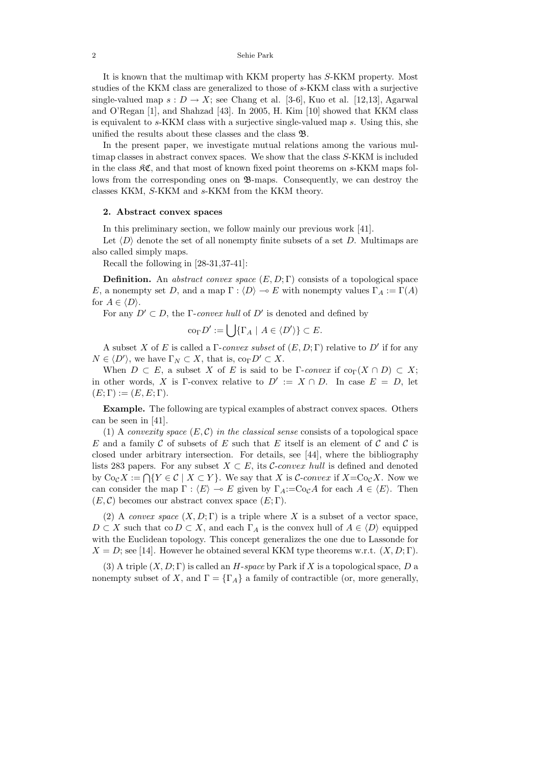It is known that the multimap with KKM property has *S*-KKM property. Most studies of the KKM class are generalized to those of *s*-KKM class with a surjective single-valued map  $s: D \to X$ ; see Chang et al. [3-6], Kuo et al. [12,13], Agarwal and O'Regan [1], and Shahzad [43]. In 2005, H. Kim [10] showed that KKM class is equivalent to *s*-KKM class with a surjective single-valued map *s*. Using this, she unified the results about these classes and the class B.

In the present paper, we investigate mutual relations among the various multimap classes in abstract convex spaces. We show that the class *S*-KKM is included in the class KC, and that most of known fixed point theorems on *s*-KKM maps follows from the corresponding ones on  $\mathfrak{B}$ -maps. Consequently, we can destroy the classes KKM, *S*-KKM and *s*-KKM from the KKM theory.

## **2. Abstract convex spaces**

In this preliminary section, we follow mainly our previous work [41].

Let  $\langle D \rangle$  denote the set of all nonempty finite subsets of a set *D*. Multimaps are also called simply maps.

Recall the following in [28-31,37-41]:

**Definition.** An abstract convex space  $(E, D; \Gamma)$  consists of a topological space *E*, a nonempty set *D*, and a map  $\Gamma : \langle D \rangle \to E$  with nonempty values  $\Gamma_A := \Gamma(A)$ for  $A \in \langle D \rangle$ .

For any  $D' \subset D$ , the Γ-convex hull of  $D'$  is denoted and defined by

$$
\operatorname{co}_{\Gamma} D' := \bigcup \{ \Gamma_A \mid A \in \langle D' \rangle \} \subset E.
$$

A subset *X* of *E* is called a  $\Gamma$ -convex subset of  $(E, D; \Gamma)$  relative to  $D'$  if for any  $N \in \langle D' \rangle$ , we have  $\Gamma_N \subset X$ , that is,  $\text{co}_{\Gamma} D' \subset X$ .

When  $D \subset E$ , a subset X of E is said to be  $\Gamma$ -convex if  $\text{co}_{\Gamma}(X \cap D) \subset X$ ; in other words, *X* is Γ-convex relative to  $D' := X \cap D$ . In case  $E = D$ , let  $(E; \Gamma) := (E, E; \Gamma).$ 

**Example.** The following are typical examples of abstract convex spaces. Others can be seen in [41].

(1) A *convexity space*  $(E, \mathcal{C})$  in the classical sense consists of a topological space *E* and a family C of subsets of *E* such that *E* itself is an element of C and C is closed under arbitrary intersection. For details, see [44], where the bibliography lists 283 papers. For any subset  $X \subset E$ , its C-convex hull is defined and denoted by  $\text{Co}_C X := \bigcap \{Y \in \mathcal{C} \mid X \subset Y\}$ . We say that *X* is *C*-*convex* if  $X = \text{Co}_C X$ . Now we can consider the map  $\Gamma : \langle E \rangle \to E$  given by  $\Gamma_A := \text{Co}_\mathcal{C} A$  for each  $A \in \langle E \rangle$ . Then  $(E, \mathcal{C})$  becomes our abstract convex space  $(E, \Gamma)$ .

(2) A convex space  $(X, D; \Gamma)$  is a triple where X is a subset of a vector space,  $D \subset X$  such that co  $D \subset X$ , and each  $\Gamma_A$  is the convex hull of  $A \in \langle D \rangle$  equipped with the Euclidean topology. This concept generalizes the one due to Lassonde for  $X = D$ ; see [14]. However he obtained several KKM type theorems w.r.t.  $(X, D; \Gamma)$ .

(3) A triple  $(X, D; \Gamma)$  is called an *H*-space by Park if X is a topological space, D a nonempty subset of *X*, and  $\Gamma = {\Gamma_A}$  a family of contractible (or, more generally,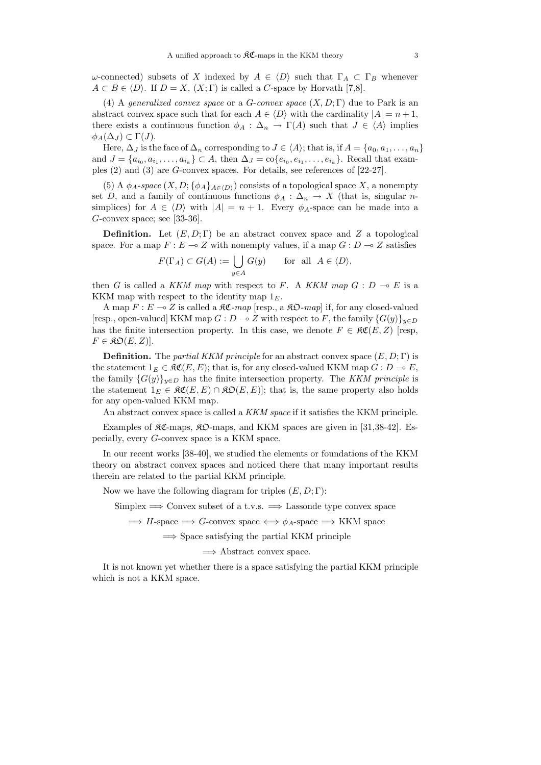*ω*-connected) subsets of *X* indexed by  $A \in \langle D \rangle$  such that  $\Gamma_A \subset \Gamma_B$  whenever  $A \subset B \in \langle D \rangle$ . If  $D = X$ ,  $(X; \Gamma)$  is called a *C*-space by Horvath [7,8].

(4) A generalized convex space or a *G*-convex space (*X, D*; Γ) due to Park is an abstract convex space such that for each  $A \in \langle D \rangle$  with the cardinality  $|A| = n + 1$ , there exists a continuous function  $\phi_A : \Delta_n \to \Gamma(A)$  such that  $J \in \langle A \rangle$  implies  $\phi_A(\Delta_J) \subset \Gamma(J)$ .

Here,  $\Delta_J$  is the face of  $\Delta_n$  corresponding to  $J \in \langle A \rangle$ ; that is, if  $A = \{a_0, a_1, \ldots, a_n\}$ and  $J = \{a_{i_0}, a_{i_1}, \ldots, a_{i_k}\} \subset A$ , then  $\Delta_J = \text{co}\{e_{i_0}, e_{i_1}, \ldots, e_{i_k}\}$ . Recall that examples (2) and (3) are *G*-convex spaces. For details, see references of [22-27].

(5) A  $\phi_A$ -space  $(X, D; {\phi_A}_{A \in \langle D \rangle})$  consists of a topological space X, a nonempty set *D*, and a family of continuous functions  $\phi_A : \Delta_n \to X$  (that is, singular *n*simplices) for  $A \in \langle D \rangle$  with  $|A| = n + 1$ . Every  $\phi_A$ -space can be made into a *G*-convex space; see [33-36].

**Definition.** Let  $(E, D; \Gamma)$  be an abstract convex space and Z a topological space. For a map  $F: E \to Z$  with nonempty values, if a map  $G: D \to Z$  satisfies

$$
F(\Gamma_A) \subset G(A) := \bigcup_{y \in A} G(y) \quad \text{for all } A \in \langle D \rangle,
$$

then *G* is called a KKM map with respect to *F*. A KKM map  $G : D \multimap E$  is a KKM map with respect to the identity map 1*E*.

A map  $F: E \to Z$  is called a  $\mathfrak{RC}$ -map [resp., a  $\mathfrak{RO}$ -map] if, for any closed-valued [resp., open-valued] KKM map  $G: D \to Z$  with respect to *F*, the family  $\{G(y)\}_{y \in D}$ has the finite intersection property. In this case, we denote  $F \in \mathcal{RC}(E, Z)$  [resp,  $F \in \mathfrak{KO}(E,Z)$ ].

**Definition.** The partial KKM principle for an abstract convex space  $(E, D; \Gamma)$  is the statement  $1_E \in \mathfrak{RC}(E, E)$ ; that is, for any closed-valued KKM map  $G : D \to E$ , the family  ${G(y)}_{y\in D}$  has the finite intersection property. The KKM principle is the statement  $1_E \in \mathfrak{RC}(E, E) \cap \mathfrak{RO}(E, E)$ ; that is, the same property also holds for any open-valued KKM map.

An abstract convex space is called a KKM space if it satisfies the KKM principle.

Examples of  $\mathcal{RC}\text{-maps}$ ,  $\mathcal{RD}\text{-maps}$ , and KKM spaces are given in [31,38-42]. Especially, every *G*-convex space is a KKM space.

In our recent works [38-40], we studied the elements or foundations of the KKM theory on abstract convex spaces and noticed there that many important results therein are related to the partial KKM principle.

Now we have the following diagram for triples (*E,D*; Γ):

Simplex  $\implies$  Convex subset of a t.v.s.  $\implies$  Lassonde type convex space

 $\implies$  *H*-space  $\implies$  *G*-convex space  $\iff$   $\phi$ <sub>*A*</sub>-space  $\implies$  KKM space

 $\implies$  Space satisfying the partial KKM principle

 $\Rightarrow$  Abstract convex space.

It is not known yet whether there is a space satisfying the partial KKM principle which is not a KKM space.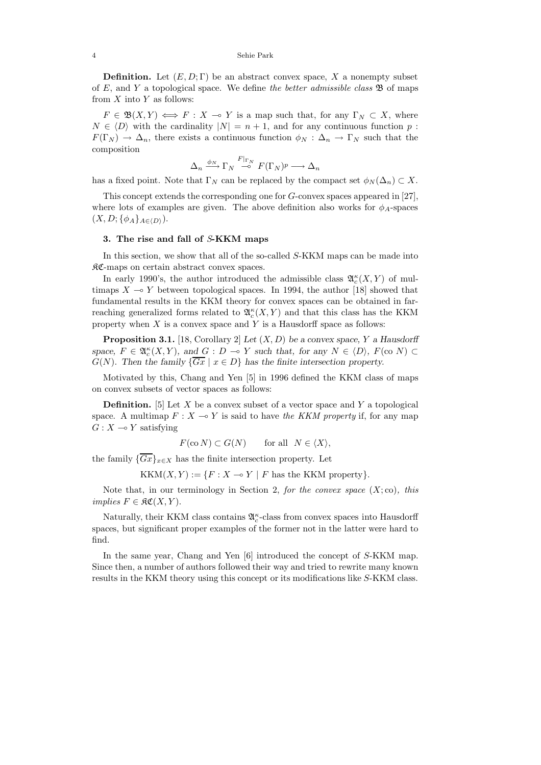**Definition.** Let  $(E, D; \Gamma)$  be an abstract convex space, X a nonempty subset of  $E$ , and  $Y$  a topological space. We define the better admissible class  $\mathfrak{B}$  of maps from *X* into *Y* as follows:

 $F \in \mathfrak{B}(X,Y) \iff F : X \to Y$  is a map such that, for any  $\Gamma_N \subset X$ , where  $N \in \langle D \rangle$  with the cardinality  $|N| = n + 1$ , and for any continuous function *p* :  $F(\Gamma_N) \to \Delta_n$ , there exists a continuous function  $\phi_N : \Delta_n \to \Gamma_N$  such that the composition

$$
\Delta_n \xrightarrow{\phi_N} \Gamma_N \xrightarrow{F|_{\Gamma_N}} F(\Gamma_N)^p \longrightarrow \Delta_n
$$

has a fixed point. Note that  $\Gamma_N$  can be replaced by the compact set  $\phi_N(\Delta_n) \subset X$ .

This concept extends the corresponding one for *G*-convex spaces appeared in [27], where lots of examples are given. The above definition also works for  $\phi_A$ -spaces  $(X, D; {\phi_A}_{A \in (D)}).$ 

### **3. The rise and fall of** S**-KKM maps**

In this section, we show that all of the so-called *S*-KKM maps can be made into KC-maps on certain abstract convex spaces.

In early 1990's, the author introduced the admissible class  $\mathfrak{A}_{c}^{\kappa}(X,Y)$  of multimaps  $X \to Y$  between topological spaces. In 1994, the author [18] showed that fundamental results in the KKM theory for convex spaces can be obtained in farreaching generalized forms related to  $\mathfrak{A}_{c}^{\kappa}(X,Y)$  and that this class has the KKM property when *X* is a convex space and *Y* is a Hausdorff space as follows:

**Proposition 3.1.** [18, Corollary 2] *Let* (*X, D*) *be a convex space, Y a Hausdorff space,*  $F \in \mathfrak{A}_{c}^{\kappa}(X, Y)$ *, and*  $G : D \to Y$  *such that, for any*  $N \in \langle D \rangle$ *,*  $F(\text{co } N) \subset$ *G*(*N*)*.* Then the family  $\{\overline{Gx} \mid x \in D\}$  has the finite intersection property.

Motivated by this, Chang and Yen [5] in 1996 defined the KKM class of maps on convex subsets of vector spaces as follows:

**Definition.** [5] Let *X* be a convex subset of a vector space and *Y* a topological space. A multimap  $F: X \to Y$  is said to have the KKM property if, for any map  $G: X \rightarrow Y$  satisfying

$$
F(\text{co } N) \subset G(N) \qquad \text{for all} \ \ N \in \langle X \rangle,
$$

the family  ${\overline{Gx}}_{x\in X}$  has the finite intersection property. Let

 $KKM(X, Y) := \{F : X \to Y \mid F$  has the KKM property}.

Note that, in our terminology in Section 2, for the convex space  $(X; \text{co})$ , this  $implies$   $F \in \mathfrak{RC}(X, Y)$ .

Naturally, their KKM class contains  $\mathfrak{A}^{\kappa}_c$ -class from convex spaces into Hausdorff spaces, but significant proper examples of the former not in the latter were hard to find.

In the same year, Chang and Yen [6] introduced the concept of *S*-KKM map. Since then, a number of authors followed their way and tried to rewrite many known results in the KKM theory using this concept or its modifications like *S*-KKM class.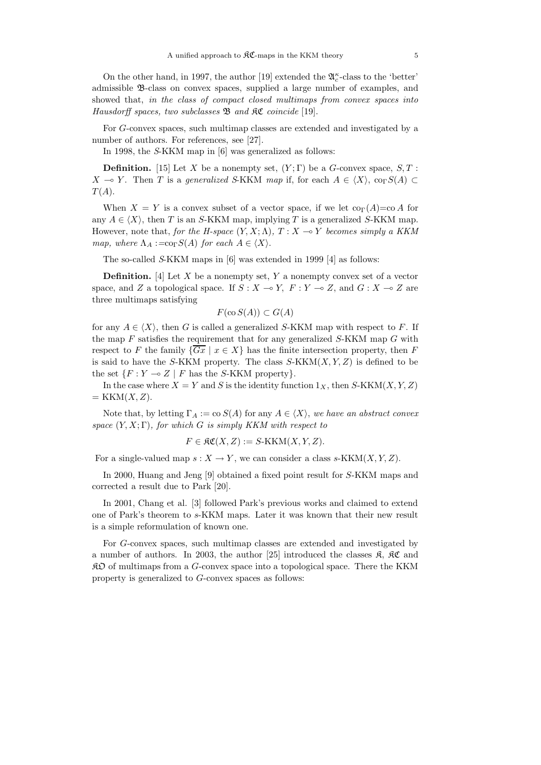On the other hand, in 1997, the author [19] extended the  $\mathfrak{A}_c^{\kappa}$ -class to the 'better' admissible B-class on convex spaces, supplied a large number of examples, and showed that, in the class of compact closed multimaps from convex spaces into Hausdorff spaces, two subclasses  $\mathfrak B$  and  $\mathfrak {RC}$  coincide [19].

For *G*-convex spaces, such multimap classes are extended and investigated by a number of authors. For references, see [27].

In 1998, the S-KKM map in [6] was generalized as follows:

**Definition.** [15] Let *X* be a nonempty set,  $(Y;\Gamma)$  be a *G*-convex space, *S*, *T* : *X* → *Y*. Then *T* is a generalized S-KKM map if, for each  $A \in \langle X \rangle$ , co<sub>Γ</sub>*S*(*A*) ⊂  $T(A)$ .

When  $X = Y$  is a convex subset of a vector space, if we let  $\text{co}_{\Gamma}(A) = \text{co }A$  for any  $A \in \langle X \rangle$ , then *T* is an *S*-KKM map, implying *T* is a generalized *S*-KKM map. However, note that, for the H-space  $(Y, X; \Lambda)$ ,  $T: X \to Y$  becomes simply a KKM map, where  $\Lambda_A := \text{cop } S(A)$  for each  $A \in \langle X \rangle$ .

The so-called S-KKM maps in [6] was extended in 1999 [4] as follows:

**Definition.** [4] Let *X* be a nonempty set, *Y* a nonempty convex set of a vector space, and *Z* a topological space. If  $S : X \to Y$ ,  $F : Y \to Z$ , and  $G : X \to Z$  are three multimaps satisfying

$$
F(\cos(A)) \subset G(A)
$$

for any  $A \in \langle X \rangle$ , then *G* is called a generalized *S*-KKM map with respect to *F*. If the map *F* satisfies the requirement that for any generalized *S*-KKM map *G* with respect to *F* the family  $\{\overline{Gx} \mid x \in X\}$  has the finite intersection property, then *F* is said to have the *S*-KKM property. The class  $S\text{-}KKM(X, Y, Z)$  is defined to be the set  $\{F: Y \multimap Z \mid F \text{ has the } S\text{-KKM property}\}.$ 

In the case where  $X = Y$  and *S* is the identity function  $1_X$ , then *S*-KKM $(X, Y, Z)$  $=$  KKM $(X, Z)$ .

Note that, by letting  $\Gamma_A := \text{co } S(A)$  for any  $A \in \langle X \rangle$ , we have an abstract convex space  $(Y, X; \Gamma)$ , for which *G* is simply KKM with respect to

$$
F \in \mathfrak{RC}(X, Z) := S\text{-KKM}(X, Y, Z).
$$

For a single-valued map  $s: X \to Y$ , we can consider a class  $s\text{-}KKM(X, Y, Z)$ .

In 2000, Huang and Jeng [9] obtained a fixed point result for *S*-KKM maps and corrected a result due to Park [20].

In 2001, Chang et al. [3] followed Park's previous works and claimed to extend one of Park's theorem to *s*-KKM maps. Later it was known that their new result is a simple reformulation of known one.

For *G*-convex spaces, such multimap classes are extended and investigated by a number of authors. In 2003, the author [25] introduced the classes  $\mathfrak{K}$ ,  $\mathfrak{K}C$  and KO of multimaps from a *G*-convex space into a topological space. There the KKM property is generalized to *G*-convex spaces as follows: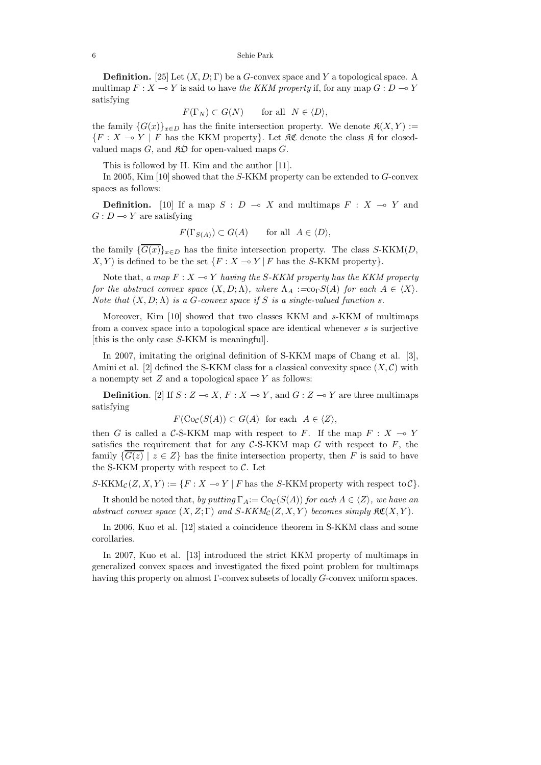**Definition.** [25] Let (*X, D*; Γ) be a *G*-convex space and *Y* a topological space. A multimap  $F: X \to Y$  is said to have the KKM property if, for any map  $G: D \to Y$ satisfying

$$
F(\Gamma_N) \subset G(N) \quad \text{for all} \quad N \in \langle D \rangle,
$$

the family  ${G(x)}_{x\in D}$  has the finite intersection property. We denote  $\mathfrak{K}(X,Y) :=$  ${F : X \multimap Y \mid F \text{ has the KKM property}}$ . Let  $\Re$  denote the class  $\Re$  for closedvalued maps  $G$ , and  $\mathcal{R}D$  for open-valued maps  $G$ .

This is followed by H. Kim and the author [11].

In 2005, Kim [10] showed that the *S*-KKM property can be extended to *G*-convex spaces as follows:

**Definition.** [10] If a map  $S: D \to X$  and multimaps  $F: X \to Y$  and  $G: D \longrightarrow Y$  are satisfying

$$
F(\Gamma_{S(A)}) \subset G(A)
$$
 for all  $A \in \langle D \rangle$ ,

the family  $\{\overline{G(x)}\}_{x \in D}$  has the finite intersection property. The class *S*-KKM(*D*,  $X, Y$  is defined to be the set  $\{F : X \to Y \mid F \text{ has the } S\text{-KKM property}\}.$ 

Note that, a map  $F: X \to Y$  having the *S*-KKM property has the KKM property for the abstract convex space  $(X, D; \Lambda)$ , where  $\Lambda_A := \text{co}_\Gamma S(A)$  for each  $A \in \langle X \rangle$ . Note that  $(X, D; \Lambda)$  is a *G*-convex space if *S* is a single-valued function *s*.

Moreover, Kim [10] showed that two classes KKM and *s*-KKM of multimaps from a convex space into a topological space are identical whenever *s* is surjective [this is the only case *S*-KKM is meaningful].

In 2007, imitating the original definition of S-KKM maps of Chang et al. [3], Amini et al.  $[2]$  defined the S-KKM class for a classical convexity space  $(X, \mathcal{C})$  with a nonempty set *Z* and a topological space *Y* as follows:

**Definition**. [2] If  $S: Z \to X$ ,  $F: X \to Y$ , and  $G: Z \to Y$  are three multimaps satisfying

 $F(\text{Co}_\mathcal{C}(S(A)) \subset G(A)$  for each  $A \in \langle Z \rangle$ ,

then *G* is called a C-S-KKM map with respect to *F*. If the map  $F : X \to Y$ satisfies the requirement that for any  $C$ -S-KKM map  $G$  with respect to  $F$ , the family  ${G(z) | z \in Z}$  has the finite intersection property, then *F* is said to have the S-KKM property with respect to  $\mathcal{C}$ . Let

 $S-KKM_{\mathcal{C}}(Z, X, Y) := \{F : X \multimap Y \mid F \text{ has the } S-KKM \text{ property with respect to } \mathcal{C}\}.$ 

It should be noted that, by putting  $\Gamma_A := \text{Co}_\mathcal{C}(S(A))$  for each  $A \in \langle Z \rangle$ , we have an abstract convex space  $(X, Z; \Gamma)$  and  $S-KKM_{\mathcal{C}}(Z, X, Y)$  becomes simply  $\mathfrak{RC}(X, Y)$ .

In 2006, Kuo et al. [12] stated a coincidence theorem in S-KKM class and some corollaries.

In 2007, Kuo et al. [13] introduced the strict KKM property of multimaps in generalized convex spaces and investigated the fixed point problem for multimaps having this property on almost Γ-convex subsets of locally *G*-convex uniform spaces.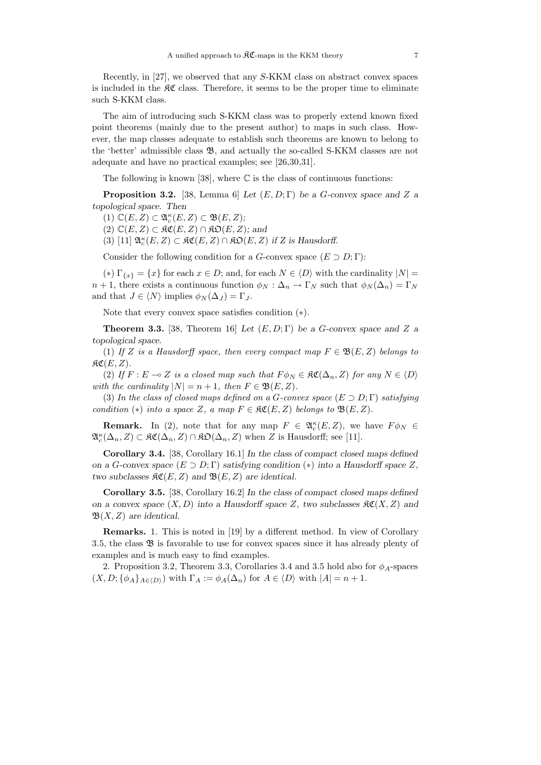Recently, in [27], we observed that any *S*-KKM class on abstract convex spaces is included in the  $\mathcal{RC}$  class. Therefore, it seems to be the proper time to eliminate such S-KKM class.

The aim of introducing such S-KKM class was to properly extend known fixed point theorems (mainly due to the present author) to maps in such class. However, the map classes adequate to establish such theorems are known to belong to the 'better' admissible class B, and actually the so-called S-KKM classes are not adequate and have no practical examples; see [26,30,31].

The following is known [38], where  $\mathbb C$  is the class of continuous functions:

**Proposition 3.2.** [38, Lemma 6] *Let*  $(E, D; \Gamma)$  *be a G*-convex space and *Z a topological space. Then*

 $(1)$   $\mathbb{C}(E, Z) \subset \mathfrak{A}_{c}^{\kappa}(E, Z) \subset \mathfrak{B}(E, Z);$ 

 $(2)$   $\mathbb{C}(E, Z)$  ⊂  $\mathfrak{RC}(E, Z)$  ∩  $\mathfrak{RO}(E, Z)$ *;* and

(3) [11]  $\mathfrak{A}_{c}^{\kappa}(E, Z) \subset \mathfrak{KC}(E, Z) \cap \mathfrak{KD}(E, Z)$  *if* Z is Hausdorff.

Consider the following condition for a *G*-convex space  $(E \supset D; \Gamma)$ :

(\*)  $\Gamma_{\{x\}} = \{x\}$  for each  $x \in D$ ; and, for each  $N \in \langle D \rangle$  with the cardinality  $|N| =$ *n* + 1, there exists a continuous function  $\phi_N : \Delta_n \to \Gamma_N$  such that  $\phi_N(\Delta_n) = \Gamma_N$ and that  $J \in \langle N \rangle$  implies  $\phi_N(\Delta_J) = \Gamma_J$ .

Note that every convex space satisfies condition (∗).

**Theorem 3.3.** [38, Theorem 16] *Let*  $(E, D; \Gamma)$  *be a G-convex space and Z a topological space.*

(1) If *Z* is a Hausdorff space, then every compact map  $F \in \mathfrak{B}(E, Z)$  belongs to  $\mathfrak{RC}(E,Z)$ .

(2) If  $F: E \to Z$  is a closed map such that  $F \phi_N \in \mathfrak{RC}(\Delta_n, Z)$  for any  $N \in \langle D \rangle$ with the cardinality  $|N| = n + 1$ , then  $F \in \mathfrak{B}(E, Z)$ .

(3) In the class of closed maps defined on a *G*-convex space  $(E \supset D; \Gamma)$  satisfying condition (\*) into a space *Z*, a map  $F \in \mathfrak{RC}(E, Z)$  belongs to  $\mathfrak{B}(E, Z)$ .

**Remark.** In (2), note that for any map  $F \in \mathfrak{A}_{c}^{\kappa}(E, Z)$ , we have  $F \phi_N \in$  $\mathfrak{A}_{c}^{\kappa}(\Delta_{n}, Z) \subset \mathfrak{KC}(\Delta_{n}, Z) \cap \mathfrak{KD}(\Delta_{n}, Z)$  when *Z* is Hausdorff; see [11].

**Corollary 3.4.** [38, Corollary 16.1] *In the class of compact closed maps defined on a G*-convex space  $(E \supset D; \Gamma)$  *satisfying condition* (\*) *into a Hausdorff space Z*, *two subclasses*  $\Re\mathfrak{C}(E, Z)$  *and*  $\Re(E, Z)$  *are identical.* 

**Corollary 3.5.** [38, Corollary 16.2] *In the class of compact closed maps defined on a convex space*  $(X, D)$  *into a Hausdorff space*  $Z$ *, two subclasses*  $\mathfrak{RC}(X, Z)$  *and* B(*X, Z*) *are identical.*

**Remarks.** 1. This is noted in [19] by a different method. In view of Corollary 3.5, the class B is favorable to use for convex spaces since it has already plenty of examples and is much easy to find examples.

2. Proposition 3.2, Theorem 3.3, Corollaries 3.4 and 3.5 hold also for  $\phi_A$ -spaces  $(X, D; {\phi_A}_{A \in D})$  with  $\Gamma_A := \phi_A(\Delta_n)$  for  $A \in \langle D \rangle$  with  $|A| = n + 1$ .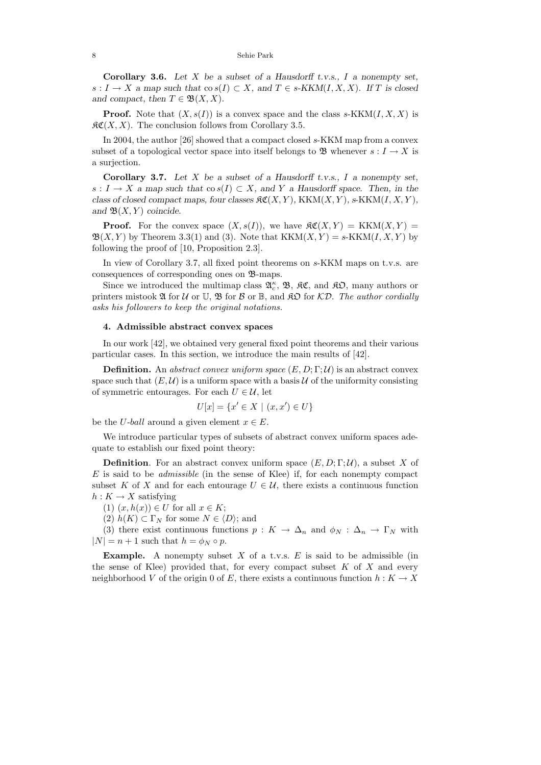**Corollary 3.6.** *Let X be a subset of a Hausdorff t.v.s., I a nonempty set, s* : *I* → *X a* map such that  $\cos(I) \subset X$ , and  $T \in s$ -KKM(*I, X, X*)*.* If *T* is closed *and compact, then*  $T \in \mathfrak{B}(X,X)$ *.* 

**Proof.** Note that  $(X, s(I))$  is a convex space and the class  $s$ -KKM $(I, X, X)$  is  $\mathcal{RC}(X, X)$ . The conclusion follows from Corollary 3.5.

In 2004, the author [26] showed that a compact closed *s*-KKM map from a convex subset of a topological vector space into itself belongs to  $\mathfrak{B}$  whenever  $s: I \to X$  is a surjection.

**Corollary 3.7.** *Let X be a subset of a Hausdorff t.v.s., I a nonempty set, s* : *I* → *X a* map such that  $\cos(I) \subset X$ , and *Y a* Hausdorff space. Then, in the *class of closed compact maps, four classes*  $\mathcal{RC}(X, Y)$ ,  $KKM(X, Y)$ ,  $s-KKM(I, X, Y)$ , and  $\mathfrak{B}(X, Y)$  *coincide.* 

**Proof.** For the convex space  $(X, s(I))$ , we have  $\Re(X, Y) = \text{KKM}(X, Y) =$  $\mathfrak{B}(X, Y)$  by Theorem 3.3(1) and (3). Note that  $KKM(X, Y) = s-KKM(I, X, Y)$  by following the proof of [10, Proposition 2.3].

In view of Corollary 3.7, all fixed point theorems on *s*-KKM maps on t.v.s. are consequences of corresponding ones on B-maps.

Since we introduced the multimap class  $\mathfrak{A}_{c}^{\kappa}$ ,  $\mathfrak{B}$ ,  $\mathfrak{K}C$ , and  $\mathfrak{K}D$ , many authors or printers mistook  $\mathfrak A$  for  $\mathcal U$  or  $\mathbb U$ ,  $\mathfrak B$  for  $\mathcal B$  or  $\mathbb B$ , and  $\mathfrak K\mathfrak D$  for  $\mathcal K\mathcal D$ . The author cordially asks his followers to keep the original notations.

### **4. Admissible abstract convex spaces**

In our work [42], we obtained very general fixed point theorems and their various particular cases. In this section, we introduce the main results of [42].

**Definition.** An abstract convex uniform space  $(E, D; \Gamma; \mathcal{U})$  is an abstract convex space such that  $(E, \mathcal{U})$  is a uniform space with a basis  $\mathcal{U}$  of the uniformity consisting of symmetric entourages. For each  $U \in \mathcal{U}$ , let

$$
U[x] = \{x' \in X \mid (x, x') \in U\}
$$

be the *U*-*ball* around a given element  $x \in E$ .

We introduce particular types of subsets of abstract convex uniform spaces adequate to establish our fixed point theory:

**Definition**. For an abstract convex uniform space  $(E, D; \Gamma; \mathcal{U})$ , a subset X of *E* is said to be admissible (in the sense of Klee) if, for each nonempty compact subset K of X and for each entourage  $U \in \mathcal{U}$ , there exists a continuous function  $h: K \to X$  satisfying

 $(1)$   $(x, h(x)) \in U$  for all  $x \in K$ ;

 $(2)$   $h(K) \subset \Gamma_N$  for some  $N \in \langle D \rangle$ ; and

(3) there exist continuous functions  $p: K \to \Delta_n$  and  $\phi_N: \Delta_n \to \Gamma_N$  with  $|N| = n + 1$  such that  $h = \phi_N \circ p$ .

**Example.** A nonempty subset *X* of a t.v.s. *E* is said to be admissible (in the sense of Klee) provided that, for every compact subset *K* of *X* and every neighborhood *V* of the origin 0 of *E*, there exists a continuous function  $h: K \to X$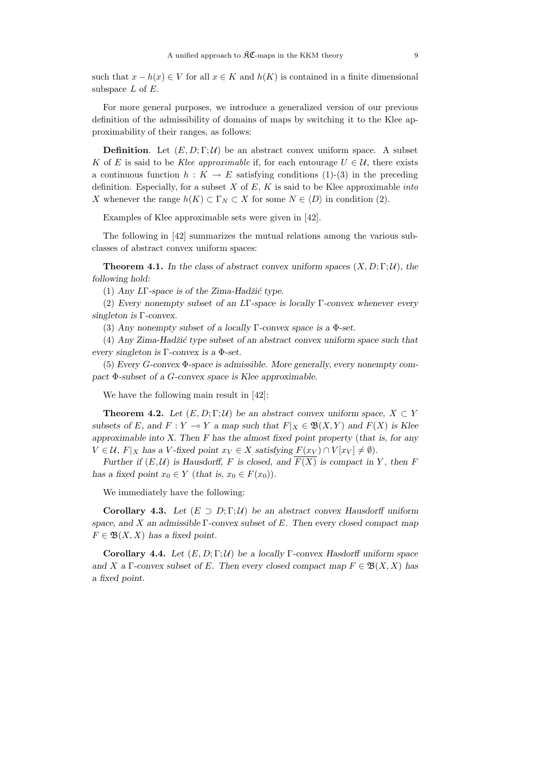such that  $x - h(x) \in V$  for all  $x \in K$  and  $h(K)$  is contained in a finite dimensional subspace *L* of *E*.

For more general purposes, we introduce a generalized version of our previous definition of the admissibility of domains of maps by switching it to the Klee approximability of their ranges, as follows:

**Definition.** Let  $(E, D; \Gamma; \mathcal{U})$  be an abstract convex uniform space. A subset *K* of *E* is said to be *Klee approximable* if, for each entourage  $U \in \mathcal{U}$ , there exists a continuous function  $h: K \to E$  satisfying conditions (1)-(3) in the preceding definition. Especially, for a subset  $X$  of  $E$ ,  $K$  is said to be Klee approximable *into X* whenever the range  $h(K) \subset \Gamma_N \subset X$  for some  $N \in \langle D \rangle$  in condition (2).

Examples of Klee approximable sets were given in [42].

The following in [42] summarizes the mutual relations among the various subclasses of abstract convex uniform spaces:

**Theorem 4.1.** In the class of abstract convex uniform spaces  $(X, D; \Gamma; \mathcal{U})$ , the *following hold:*

(1) *Any L*Γ*-space is of the Zima-Hadˇzi´c type.*

(2) *Every nonempty subset of an L*Γ*-space is locally* Γ*-convex whenever every singleton is* Γ*-convex.*

(3) *Any nonempty subset of a locally* Γ*-convex space is a* Φ*-set.*

(4) *Any Zima-Hadˇzi´c type subset of an abstract convex uniform space such that every singleton is* Γ*-convex is a* Φ*-set.*

(5) *Every G-convex* Φ*-space is admissible. More generally, every nonempty compact* Φ*-subset of a G-convex space is Klee approximable.*

We have the following main result in [42]:

**Theorem 4.2.** *Let*  $(E, D; \Gamma; \mathcal{U})$  *be an abstract convex uniform space,*  $X \subset Y$ *subsets of E*, and  $F: Y \to Y$  *a* map such that  $F|_X \in \mathfrak{B}(X, Y)$  and  $F(X)$  is Klee *approximable into X. Then F has the almost fixed point property* (*that is, for any*  $V \in \mathcal{U}, F|_X$  *has a V*-fixed point  $x_V \in X$  *satisfying*  $F(x_V) \cap V[x_V] \neq \emptyset$ *).* 

*Further if*  $(E, \mathcal{U})$  *is Hausdorff, F is closed, and*  $\overline{F(X)}$  *is compact in Y*, then *F has a fixed point*  $x_0 \in Y$  (*that is,*  $x_0 \in F(x_0)$ ).

We immediately have the following:

**Corollary 4.3.** Let  $(E \supset D; \Gamma; \mathcal{U})$  be an abstract convex Hausdorff uniform *space, and X an admissible* Γ*-convex subset of E. Then every closed compact map*  $F \in \mathfrak{B}(X,X)$  *has a fixed point.* 

**Corollary 4.4.** *Let* (*E,D*; Γ; U) *be a locally* Γ*-convex Hasdorff uniform space and X a*  $\Gamma$ -convex subset of *E.* Then every closed compact map  $F \in \mathfrak{B}(X,X)$  has *a fixed point.*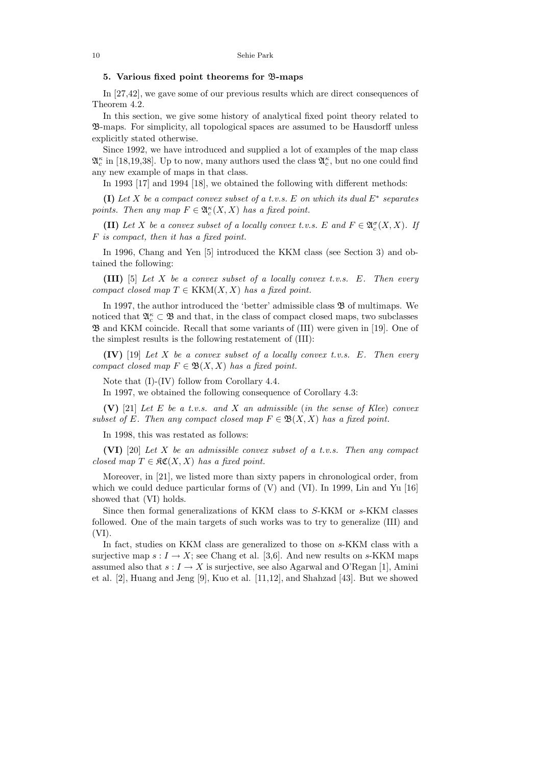### **5. Various fixed point theorems for** B**-maps**

In [27,42], we gave some of our previous results which are direct consequences of Theorem 4.2.

In this section, we give some history of analytical fixed point theory related to B-maps. For simplicity, all topological spaces are assumed to be Hausdorff unless explicitly stated otherwise.

Since 1992, we have introduced and supplied a lot of examples of the map class  $\mathfrak{A}^{\kappa}_c$  in [18,19,38]. Up to now, many authors used the class  $\mathfrak{A}^{\kappa}_c$ , but no one could find any new example of maps in that class.

In 1993 [17] and 1994 [18], we obtained the following with different methods:

**(I)** Let *X* be a compact convex subset of a t.v.s. *E* on which its dual *E*<sup>∗</sup> separates points. Then any map  $F \in \mathfrak{A}_{c}^{\kappa}(X,X)$  has a fixed point.

**(II)** Let *X* be a convex subset of a locally convex t.v.s. *E* and  $F \in \mathfrak{A}_c^{\sigma}(X,X)$ . If *F* is compact, then it has a fixed point.

In 1996, Chang and Yen [5] introduced the KKM class (see Section 3) and obtained the following:

**(III)** [5] Let *X* be a convex subset of a locally convex t.v.s. *E*. Then every compact closed map  $T \in KKM(X,X)$  has a fixed point.

In 1997, the author introduced the 'better' admissible class  $\mathfrak B$  of multimaps. We noticed that  $\mathfrak{A}^\kappa_c\subset\mathfrak{B}$  and that, in the class of compact closed maps, two subclasses  $\mathfrak{B}$  and KKM coincide. Recall that some variants of (III) were given in [19]. One of the simplest results is the following restatement of (III):

**(IV)** [19] Let *X* be a convex subset of a locally convex t.v.s. *E*. Then every compact closed map  $F \in \mathfrak{B}(X,X)$  has a fixed point.

Note that (I)-(IV) follow from Corollary 4.4.

In 1997, we obtained the following consequence of Corollary 4.3:

**(V)** [21] Let *E* be a t.v.s. and *X* an admissible (in the sense of Klee) convex subset of *E*. Then any compact closed map  $F \in \mathfrak{B}(X,X)$  has a fixed point.

In 1998, this was restated as follows:

**(VI)** [20] Let *X* be an admissible convex subset of a t.v.s. Then any compact closed map  $T \in \mathfrak{RC}(X,X)$  has a fixed point.

Moreover, in [21], we listed more than sixty papers in chronological order, from which we could deduce particular forms of  $(V)$  and  $(VI)$ . In 1999, Lin and Yu [16] showed that (VI) holds.

Since then formal generalizations of KKM class to *S*-KKM or *s*-KKM classes followed. One of the main targets of such works was to try to generalize (III) and  $(VI).$ 

In fact, studies on KKM class are generalized to those on *s*-KKM class with a surjective map  $s: I \to X$ ; see Chang et al. [3,6]. And new results on *s*-KKM maps assumed also that  $s: I \to X$  is surjective, see also Agarwal and O'Regan [1], Amini et al. [2], Huang and Jeng [9], Kuo et al. [11,12], and Shahzad [43]. But we showed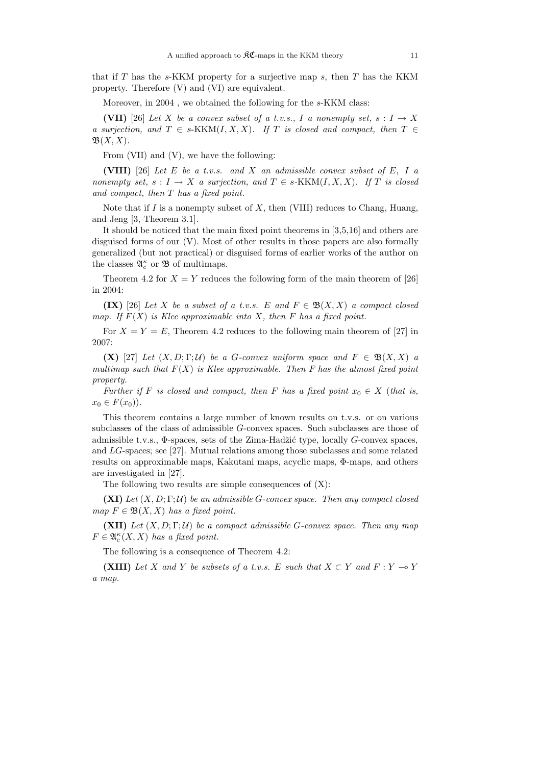that if *T* has the *s*-KKM property for a surjective map *s*, then *T* has the KKM property. Therefore (V) and (VI) are equivalent.

Moreover, in 2004 , we obtained the following for the *s*-KKM class:

**(VII)** [26] Let *X* be a convex subset of a t.v.s., *I* a nonempty set,  $s: I \rightarrow X$ a surjection, and  $T \in s-KKM(I,X,X)$ . If *T* is closed and compact, then  $T \in$  $\mathfrak{B}(X,X)$ .

From (VII) and (V), we have the following:

**(VIII)** [26] Let *E* be a t.v.s. and *X* an admissible convex subset of *E, I* a nonempty set,  $s: I \to X$  a surjection, and  $T \in s\text{-KKM}(I, X, X)$ . If *T* is closed and compact, then *T* has a fixed point.

Note that if *I* is a nonempty subset of *X*, then (VIII) reduces to Chang, Huang, and Jeng [3, Theorem 3.1].

It should be noticed that the main fixed point theorems in [3,5,16] and others are disguised forms of our (V). Most of other results in those papers are also formally generalized (but not practical) or disguised forms of earlier works of the author on the classes  $\mathfrak{A}_{c}^{\kappa}$  or  $\mathfrak{B}$  of multimaps.

Theorem 4.2 for  $X = Y$  reduces the following form of the main theorem of [26] in 2004:

**(IX)** [26] Let *X* be a subset of a t.v.s. *E* and  $F \in \mathfrak{B}(X,X)$  a compact closed map. If  $F(X)$  is Klee approximable into *X*, then *F* has a fixed point.

For  $X = Y = E$ , Theorem 4.2 reduces to the following main theorem of [27] in 2007:

**(X)** [27] Let  $(X, D; \Gamma; \mathcal{U})$  be a *G*-convex uniform space and  $F \in \mathfrak{B}(X, X)$  a multimap such that  $F(X)$  is Klee approximable. Then F has the almost fixed point property.

Further if *F* is closed and compact, then *F* has a fixed point  $x_0 \in X$  (that is,  $x_0 \in F(x_0)$ .

This theorem contains a large number of known results on t.v.s. or on various subclasses of the class of admissible *G*-convex spaces. Such subclasses are those of admissible t.v.s., Φ-spaces, sets of the Zima-Hadžić type, locally *G*-convex spaces, and *LG*-spaces; see [27]. Mutual relations among those subclasses and some related results on approximable maps, Kakutani maps, acyclic maps, Φ-maps, and others are investigated in [27].

The following two results are simple consequences of  $(X)$ :

**(XI)** Let  $(X, D; \Gamma; \mathcal{U})$  be an admissible *G*-convex space. Then any compact closed map  $F \in \mathfrak{B}(X,X)$  has a fixed point.

**(XII)** Let  $(X, D; \Gamma; \mathcal{U})$  be a compact admissible *G*-convex space. Then any map  $F \in \mathfrak{A}_{c}^{\kappa}(X,X)$  has a fixed point.

The following is a consequence of Theorem 4.2:

**(XIII)** Let *X* and *Y* be subsets of a t.v.s. *E* such that  $X \subset Y$  and  $F : Y \to Y$ a map.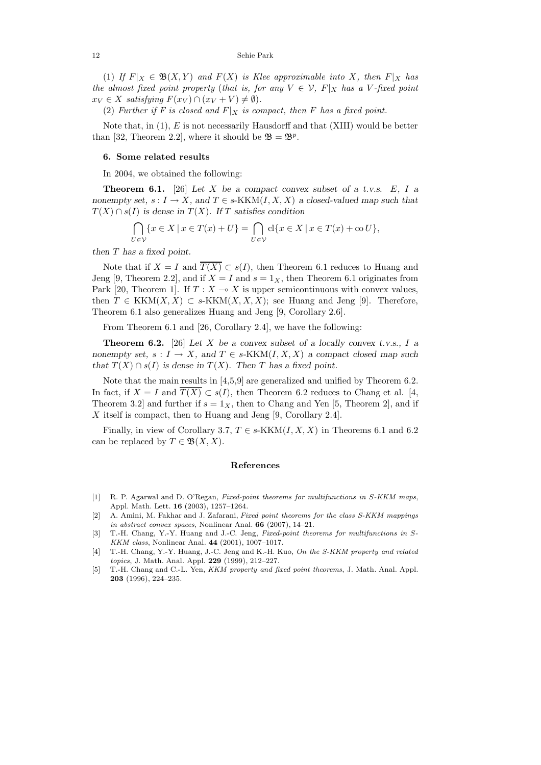(1) If  $F|_X \in \mathfrak{B}(X,Y)$  and  $F(X)$  is Klee approximable into X, then  $F|_X$  has the almost fixed point property (that is, for any  $V \in \mathcal{V}$ ,  $F|_X$  has a *V*-fixed point  $x_V \in X$  satisfying  $F(x_V) \cap (x_V + V) \neq \emptyset$ .

(2) Further if F is closed and  $F|_X$  is compact, then F has a fixed point.

Note that, in (1), *E* is not necessarily Hausdorff and that (XIII) would be better than [32, Theorem 2.2], where it should be  $\mathfrak{B} = \mathfrak{B}^p$ .

### **6. Some related results**

In 2004, we obtained the following:

**Theorem 6.1.** [26] Let *X* be a compact convex subset of a t.v.s.  $E$ ,  $I$  a *nonempty set,*  $s: I \to X$ *, and*  $T \in s-KKM(I, X, X)$  *a closed-valued map such that*  $T(X) \cap s(I)$  *is dense in*  $T(X)$ *. If T satisfies condition* 

$$
\bigcap_{U \in \mathcal{V}} \{x \in X \mid x \in T(x) + U\} = \bigcap_{U \in \mathcal{V}} cl\{x \in X \mid x \in T(x) + \text{co } U\},\
$$

*then T has a fixed point.*

Note that if  $X = I$  and  $\overline{T(X)} \subset s(I)$ , then Theorem 6.1 reduces to Huang and Jeng [9, Theorem 2.2], and if  $X = I$  and  $s = 1<sub>X</sub>$ , then Theorem 6.1 originates from Park [20, Theorem 1]. If  $T : X \longrightarrow X$  is upper semicontinuous with convex values, then  $T \in \text{KKM}(X, X) \subset s\text{-KKM}(X, X, X)$ ; see Huang and Jeng [9]. Therefore, Theorem 6.1 also generalizes Huang and Jeng [9, Corollary 2.6].

From Theorem 6.1 and [26, Corollary 2.4], we have the following:

**Theorem 6.2.** [26] Let *X* be a convex subset of a locally convex t.v.s., *I* a *nonempty set,*  $s: I \to X$ *, and*  $T \in s-KKM(I, X, X)$  *a compact closed map such that*  $T(X) \cap s(I)$  *is dense in*  $T(X)$ *. Then T has a fixed point.* 

Note that the main results in [4,5,9] are generalized and unified by Theorem 6.2. In fact, if  $X = I$  and  $T(X) \subset s(I)$ , then Theorem 6.2 reduces to Chang et al. [4, Theorem 3.2 and further if  $s = 1<sub>X</sub>$ , then to Chang and Yen [5, Theorem 2], and if *X* itself is compact, then to Huang and Jeng [9, Corollary 2.4].

Finally, in view of Corollary 3.7,  $T \in s\text{-KKM}(I, X, X)$  in Theorems 6.1 and 6.2 can be replaced by  $T \in \mathfrak{B}(X,X)$ .

#### **References**

- [1] R. P. Agarwal and D. O'Regan, *Fixed-point theorems for multifunctions in* S*-KKM maps*, Appl. Math. Lett. **16** (2003), 1257–1264.
- [2] A. Amini, M. Fakhar and J. Zafarani, *Fixed point theorems for the class S-KKM mappings in abstract convex spaces*, Nonlinear Anal. **66** (2007), 14–21.
- [3] T.-H. Chang, Y.-Y. Huang and J.-C. Jeng, *Fixed-point theorems for multifunctions in* S*-KKM class*, Nonlinear Anal. **44** (2001), 1007–1017.
- [4] T.-H. Chang, Y.-Y. Huang, J.-C. Jeng and K.-H. Kuo, *On the S-KKM property and related topics*, J. Math. Anal. Appl. **229** (1999), 212–227.
- [5] T.-H. Chang and C.-L. Yen, *KKM property and fixed point theorems*, J. Math. Anal. Appl. **203** (1996), 224–235.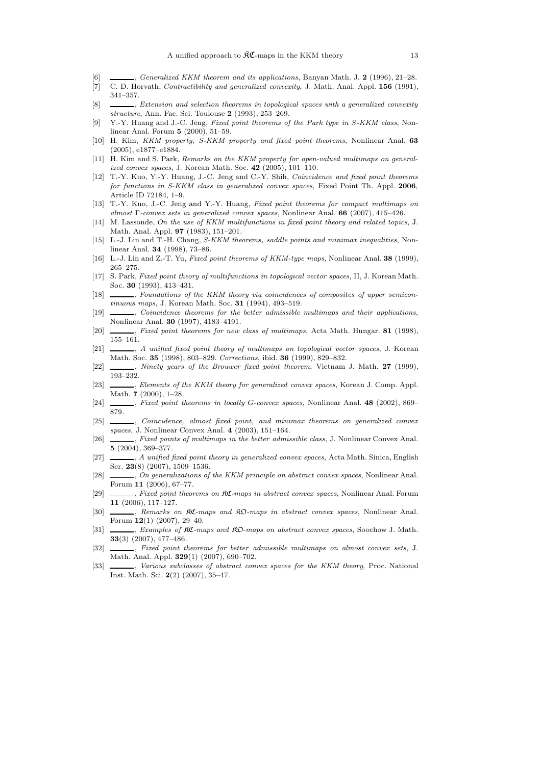- [6] , *Generalized KKM theorem and its applications*, Banyan Math. J. **2** (1996), 21–28.
- [7] C. D. Horvath, *Contractibility and generalized convexity*, J. Math. Anal. Appl. **156** (1991), 341–357.
- [8] , *Extension and selection theorems in topological spaces with a generalized convexity structure*, Ann. Fac. Sci. Toulouse **2** (1993), 253–269.
- [9] Y.-Y. Huang and J.-C. Jeng, *Fixed point theorems of the Park type in* S*-KKM class*, Nonlinear Anal. Forum **5** (2000), 51–59.
- [10] H. Kim, *KKM property, S-KKM property and fixed point theorems*, Nonlinear Anal. **63** (2005), e1877–e1884.
- [11] H. Kim and S. Park, *Remarks on the KKM property for open-valued multimaps on generalized convex spaces*, J. Korean Math. Soc. **42** (2005), 101–110.
- [12] T.-Y. Kuo, Y.-Y. Huang, J.-C. Jeng and C.-Y. Shih, *Coincidence and fixed point theorems for functions in S-KKM class in generalized convex spaces*, Fixed Point Th. Appl. **2006**, Article ID 72184, 1–9.
- [13] T.-Y. Kuo, J.-C. Jeng and Y.-Y. Huang, *Fixed point theorems for compact multimaps on almost* Γ*-convex sets in generalized convex spaces*, Nonlinear Anal. **66** (2007), 415–426.
- [14] M. Lassonde, *On the use of KKM multifunctions in fixed point theory and related topics*, J. Math. Anal. Appl. **97** (1983), 151–201.
- [15] L.-J. Lin and T.-H. Chang, *S-KKM theorems, saddle points and minimax inequalities*, Nonlinear Anal. **34** (1998), 73–86.
- [16] L.-J. Lin and Z.-T. Yu, *Fixed point theorems of KKM-type maps*, Nonlinear Anal. **38** (1999), 265–275.
- [17] S. Park, *Fixed point theory of multifunctions in topological vector spaces*, II, J. Korean Math. Soc. **30** (1993), 413–431.
- [18] , *Foundations of the KKM theory via coincidences of composites of upper semicontinuous maps*, J. Korean Math. Soc. **31** (1994), 493–519.
- [19] , *Coincidence theorems for the better admissible multimaps and their applications*, Nonlinear Anal. **30** (1997), 4183–4191.
- [20] , *Fixed point theorems for new class of multimaps*, Acta Math. Hungar. **81** (1998), 155–161.
- [21] , *A unified fixed point theory of multimaps on topological vector spaces*, J. Korean Math. Soc. **35** (1998), 803–829. *Corrections*, ibid. **36** (1999), 829–832.
- [22] , *Ninety years of the Brouwer fixed point theorem*, Vietnam J. Math. **27** (1999), 193–232.
- [23] , *Elements of the KKM theory for generalized convex spaces*, Korean J. Comp. Appl. Math. **7** (2000), 1–28.
- [24] , *Fixed point theorems in locally* G*-convex spaces*, Nonlinear Anal. **48** (2002), 869– 879.
- [25] , *Coincidence, almost fixed point, and minimax theorems on generalized convex spaces*, J. Nonlinear Convex Anal. **4** (2003), 151–164.
- [26] , *Fixed points of multimaps in the better admissible class*, J. Nonlinear Convex Anal. **5** (2004), 369–377.
- [27] , *A unified fixed point theory in generalized convex spaces*, Acta Math. Sinica, English Ser. **23**(8) (2007), 1509–1536.
- [28] , *On generalizations of the KKM principle on abstract convex spaces*, Nonlinear Anal. Forum **11** (2006), 67–77.
- [29] , *Fixed point theorems on* KC*-maps in abstract convex spaces*, Nonlinear Anal. Forum **11** (2006), 117–127.
- [30] , *Remarks on* KC*-maps and* KO*-maps in abstract convex spaces*, Nonlinear Anal. Forum **12**(1) (2007), 29–40.
- [31] , *Examples of* KC*-maps and* KO*-maps on abstract convex spaces*, Soochow J. Math. **33**(3) (2007), 477–486.
- [32] , *Fixed point theorems for better admissible multimaps on almost convex sets*, J. Math. Anal. Appl. **329**(1) (2007), 690–702.
- [33] , *Various subclasses of abstract convex spaces for the KKM theory*, Proc. National Inst. Math. Sci. **2**(2) (2007), 35–47.